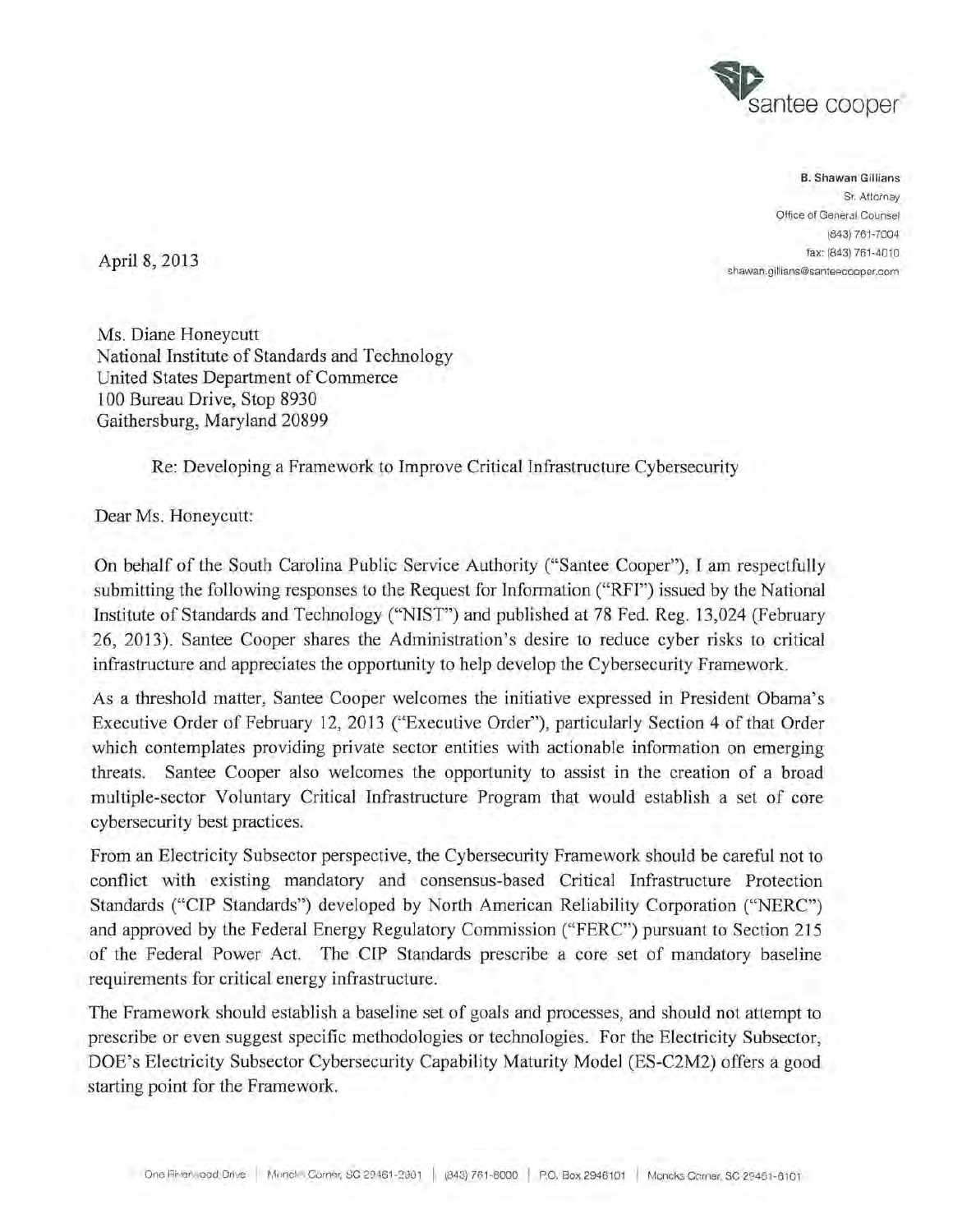

B. Shawan Gillians Sr. Attorney Office of General Counsel (843) 761-7004  $\text{April } 8, 2013$  fax: (843) 761-4010 shawan.gillians@santeecooper.com

Ms. Diane Honeycutt National Institute of Standards and Technology United States Department of Commerce 100 Bureau Drive, Stop 8930 Gaithersburg, Maryland 20899

Re: Developing a Framework to Improve Critical Infrastructure Cybersecurity

Dear Ms. Honeycutt:

On behalf of the South Carolina Public Service Authority ("Santee Cooper"), I am respectfully submitting the following responses to the Request for Information ("RFI") issued by the National Institute of Standards and Technology ("NIST") and published at 78 Fed. Reg. 13,024 (February 26, 2013). Santee Cooper shares the Administration's desire to reduce cyber risks to critical infrastructure and appreciates the opportunity to help develop the Cybersecurity Framework.

As a threshold matter, Santee Cooper welcomes the initiative expressed in President Obama's Executive Order of February 12, 2013 ("Executive Order"), particularly Section 4 of that Order which contemplates providing private sector entities with actionable information on emerging threats. Santee Cooper also welcomes the opportunity to assist in the creation of a broad multiple-sector Voluntary Critical Infrastructure Program that would establish a set of core cybersecurity best practices.

From an Electricity Subsector perspective, the Cybersecurity Framework should be careful not to conflict with existing mandatory and consensus-based Critical Infrastructure Protection Standards ("CIP Standards") developed by North American Reliability Corporation ("NERC") and approved by the Federal Energy Regulatory Commission ("FERC") pursuant to Section 215 of the Federal Power Act. The CIP Standards prescribe a core set of mandatory baseline requirements for critical energy infrastructure.

The Framework should establish a baseline set of goals and processes, and should not attempt to prescribe or even suggest specific methodologies or technologies. For the Electricity Subsector, DOE's Electricity Subsector Cybersecurity Capability Maturity Model (ES-C2M2) offers a good starting point for the Framework.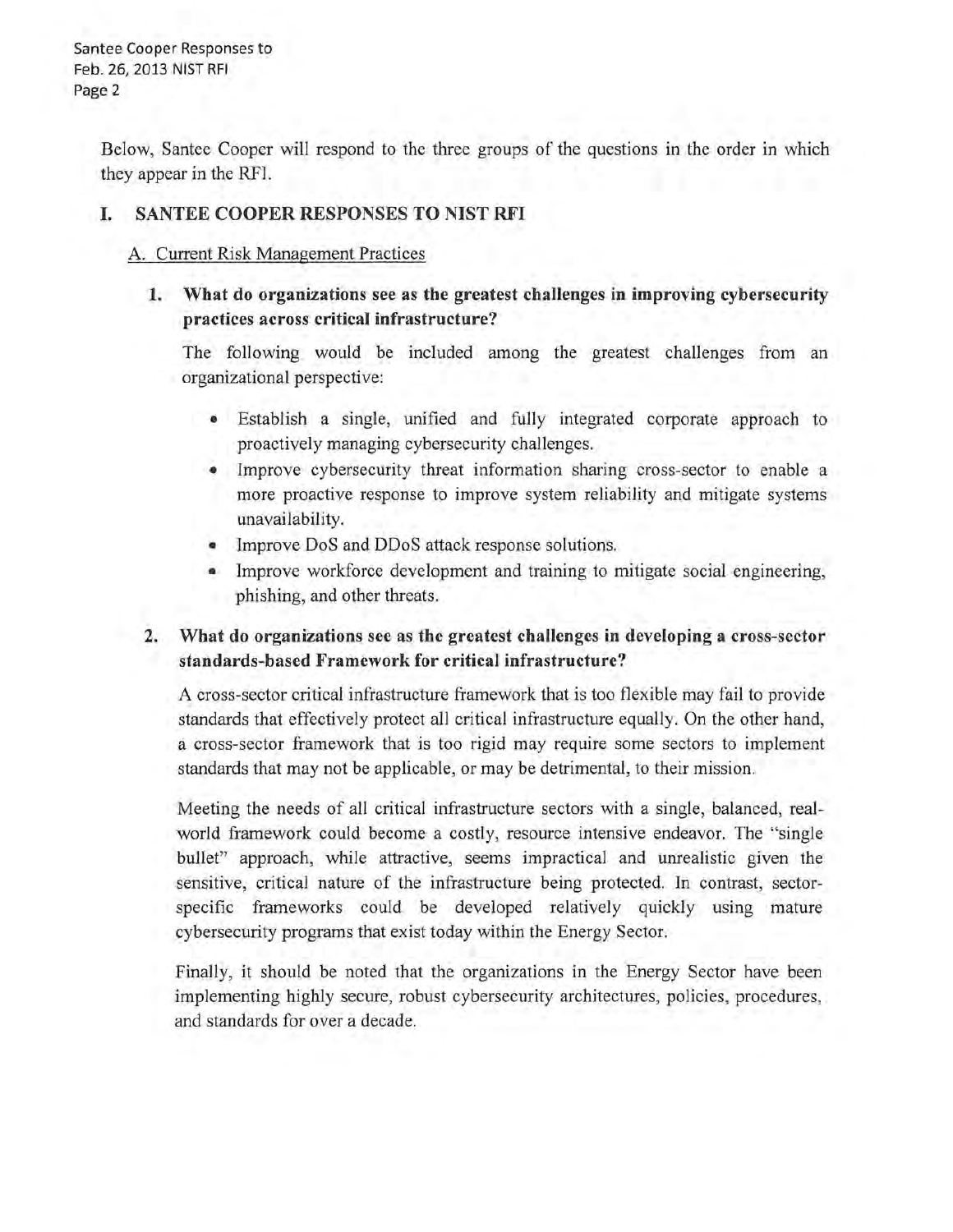Santee Cooper Responses to Feb. 26, 2013 NIST RFI Page 2

> Below, Santee Cooper will respond to the three groups of the questions in the order in which they appear in the RFI.

### I. SANTEE COOPER RESPONSES TO NIST RFI

#### A. Current Risk Management Practices

1. What do organizations see as the greatest challenges in improving cybersecurity practices across critical infrastructure?

The following would be included among the greatest challenges from an organizational perspective:

- Establish a single, unified and fully integrated corporate approach to proactively managing cybersecurity challenges.
- Improve cybersecurity threat information sharing cross-sector to enable a more proactive response to improve system reliability and mitigate systems unavailability.
- Improve DoS and DDoS attack response solutions.
- Improve workforce development and training to mitigate social engineering, phishing, and other threats.

### 2. What do organizations see as the greatest challenges in developing a cross-sector standards-based Framework for critical infrastructure?

A cross-sector critical infrastructure framework that is too flexible may fail to provide standards that effectively protect all critical infrastructure equally. On the other hand, a cross-sector framework that is too rigid may require some sectors to implement standards that may not be applicable, or may be detrimental, to their mission.

Meeting the needs of all critical infrastructure sectors with a single, balanced, realworld framework could become a costly, resource intensive endeavor. The "single bullet" approach, while attractive, seems impractical and umealistic given the sensitive, critical nature of the infrastructure being protected. In contrast, sectorspecific frameworks could be developed relatively quickly using mature cybersecurity programs that exist today within the Energy Sector.

Finally, it should be noted that the organizations in the Energy Sector have been implementing highly secure, robust cybersecurity architectures, policies, procedures, and standards for over a decade.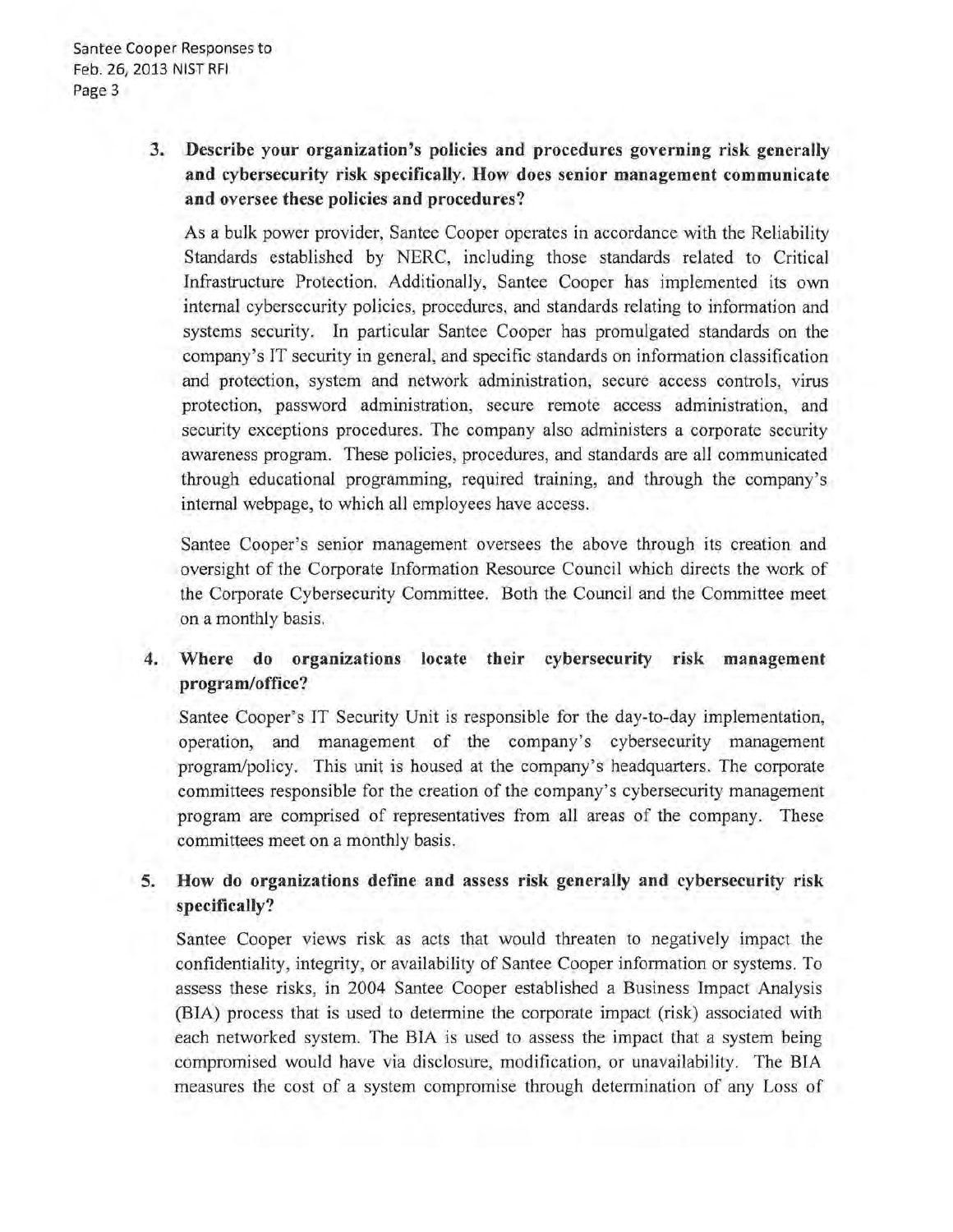# 3. Describe your organization's policies and procedures governing risk generally and cybersecurity risk specifically. How does senior management communicate and oversee these policies and procedures?

As a bulk power provider, Santee Cooper operates in accordance with the Reliability Standards established by NERC, including those standards related to Critical Infrastructure Protection. Additionally, Santee Cooper has implemented its own internal cybersecurity policies, procedures, and standards relating to information and systems security. In particular Santee Cooper has promulgated standards on the company's IT security in general, and specific standards on information classification and protection, system and network administration, secure access controls, virus protection, password administration, secure remote access administration, and security exceptions procedures. The company also administers a corporate security awareness program. These policies, procedures, and standards are all communicated through educational programming, required training, and through the company's internal webpage, to which all employees have access.

Santee Cooper's senior management oversees the above through its creation and oversight of the Corporate Information Resource Council which directs the work of the Corporate Cybersecurity Committee. Both the Council and the Committee meet on a monthly basis.

# 4. Where do organizations locate their cybersecurity risk management program/office?

Santee Cooper's IT Security Unit is responsible for the day-to-day implementation, operation, and management of the company's cybersecurity management program/policy. This unit is housed at the company's headquarters. The corporate committees responsible for the creation of the company's cybersecurity management program are comprised of representatives from all areas of the company. These committees meet on a monthly basis.

# S. How do organizations define and assess risk generally and cybersecurity risk specifically?

Santee Cooper views risk as acts that would threaten to negatively impact the confidentiality, integrity, or availability of Santee Cooper information or systems. To assess these risks, in 2004 Santee Cooper established a Business Impact Analysis (BIA) process that is used to determine the corporate impact (risk) associated with each networked system. The BIA is used to assess the impact that a system being compromised would have via disclosure, modification, or unavailability. The BIA measures the cost of a system compromise through determination of any Loss of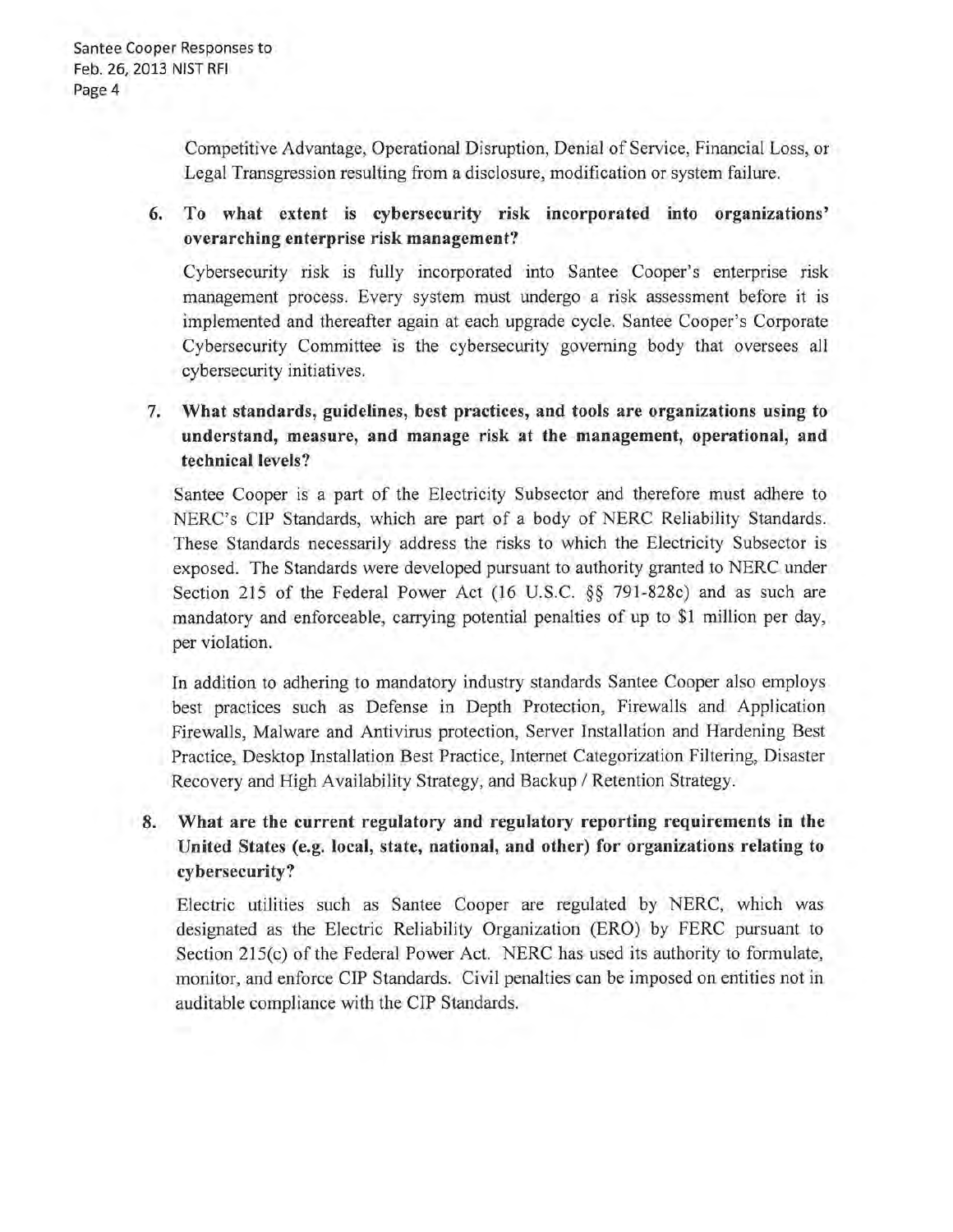Competitive Advantage, Operational Disruption, Denial of Service, Financial Loss, or Legal Transgression resulting from a disclosure, modification or system failure.

# 6. To what extent is cybersecurity risk incorporated into organizations' overarching enterprise risk management?

Cybersecurity risk is fully incorporated into Santee Cooper's enterprise risk management process. Every system must undergo a risk assessment before it is implemented and thereafter again at each upgrade cycle. Santee Cooper's Corporate Cybersecurity Committee is the cybersecurity governing body that oversees all cybersecurity initiatives.

# 7. What standards, guidelines, best practices, and tools are organizations using to understand, measure, and manage risk at the management, operational, and technical levels?

Santee Cooper is a part of the Electricity Subsector and therefore must adhere to NERC's CIP Standards, which are part of a body of NERC Reliability Standards. These Standards necessarily address the risks to which the Electricity Subsector is exposed. The Standards were developed pursuant to authority granted to NERC under Section 215 of the Federal Power Act (16 U.S.C. §§ 79l-828c) and as such are mandatory and enforceable, carrying potential penalties of up to \$1 million per day, per violation.

In addition to adhering to mandatory industry standards Santee Cooper also employs best practices such as Defense in Depth Protection, Firewalls and Application Firewalls, Malware and Antivirus protection, Server Installation and Hardening Best Practice, Desktop Installation Best Practice, Internet Categorization Filtering, Disaster Recovery and High Availability Strategy, and Backup / Retention Strategy.

# 8. What are the current regulatory and regulatory reporting requirements in the United States (e.g. local, state, national, and other) for organizations relating to cybersecurity?

Electric utilities such as Santee Cooper are regulated by NERC, which was designated as the Electric Reliability Organization (ERO) by FERC pursuant to Section 2l5(c) of the Federal Power Act. NERC has used its authority to formulate, monitor, and enforce CIP Standards. Civil penalties can be imposed on entities not in auditable compliance with the CIP Standards.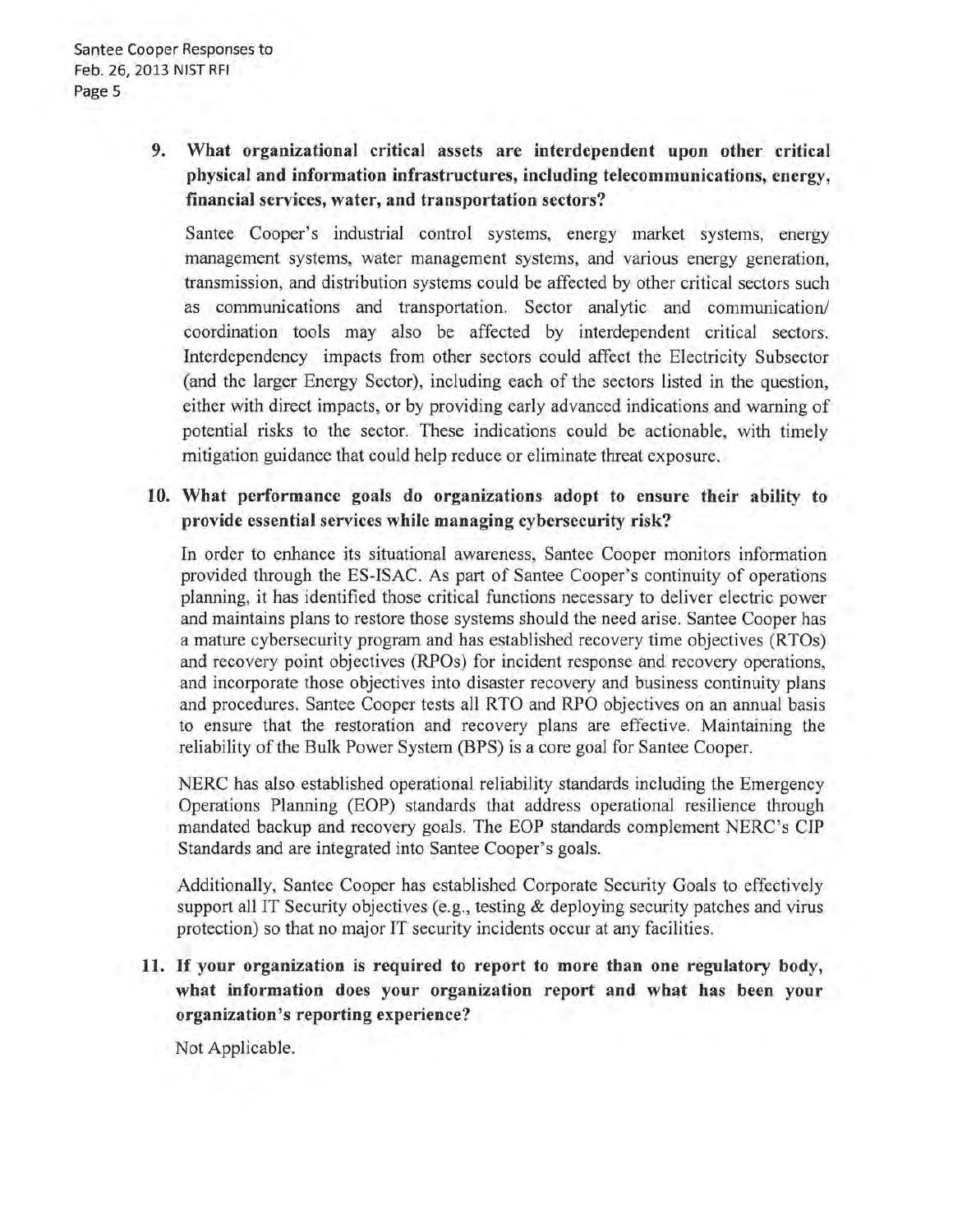# **9. What organizational critical assets are interdependent upon other critical physical and information infrastructures, including telecommunications, energy, financial services, water, and transportation sectors?**

Santee Cooper's industrial control systems, energy market systems, energy management systems, water management systems, and various energy generation, transmission, and distribution systems could be affected by other critical sectors such as communications and transportation. Sector analytic and communication/ coordination tools may also be affected by interdependent critical sectors. Interdependency impacts from other sectors could affect the Electricity Subsector (and the larger Energy Sector), including each of the sectors listed in the question, either with direct impacts, or by providing early advanced indications and warning of potential risks to the sector. These indications could be actionable, with timely mitigation guidance that could help reduce or eliminate threat exposure.

### **10. What performance goals do organizations adopt to ensure their ability to provide essential services while managing cybersecurity risk?**

**In** order to enhance its situational awareness, Santee Cooper monitors information provided through the ES-ISAC. As part of Santee Cooper's continuity of operations planning, it has identified those critical functions necessary to deliver electric power and maintains plans to restore those systems should the need arise. Santee Cooper has a mature cybersecurity program and has established recovery time objectives (RTOs) and recovery point objectives (RPOs) for incident response and recovery operations, and incorporate those objectives into disaster recovery and business continuity plans and procedures. Santee Cooper tests all RTO and RPO objectives on an annual basis to ensure that the restoration and recovery plans are effective. Maintaining the reliability of the Bulk Power System (BPS) is a core goal for Santee Cooper.

NERC has also established operational reliability standards including the Emergency Operations Planning (EOP) standards that address operational resilience through mandated backup and recovery goals. The EOP standards complement NERC's CIP Standards and are integrated into Santee Cooper's goals.

Additionally, Santee Cooper has established Corporate Security Goals to effectively support all IT Security objectives (e.g., testing & deploying security patches and virus protection) so that no major IT security incidents occur at any facilities.

**11. If your organization is required to report to more than one regulatory body, what information does your organization report and what has been your organization's reporting experience?** 

Not Applicable.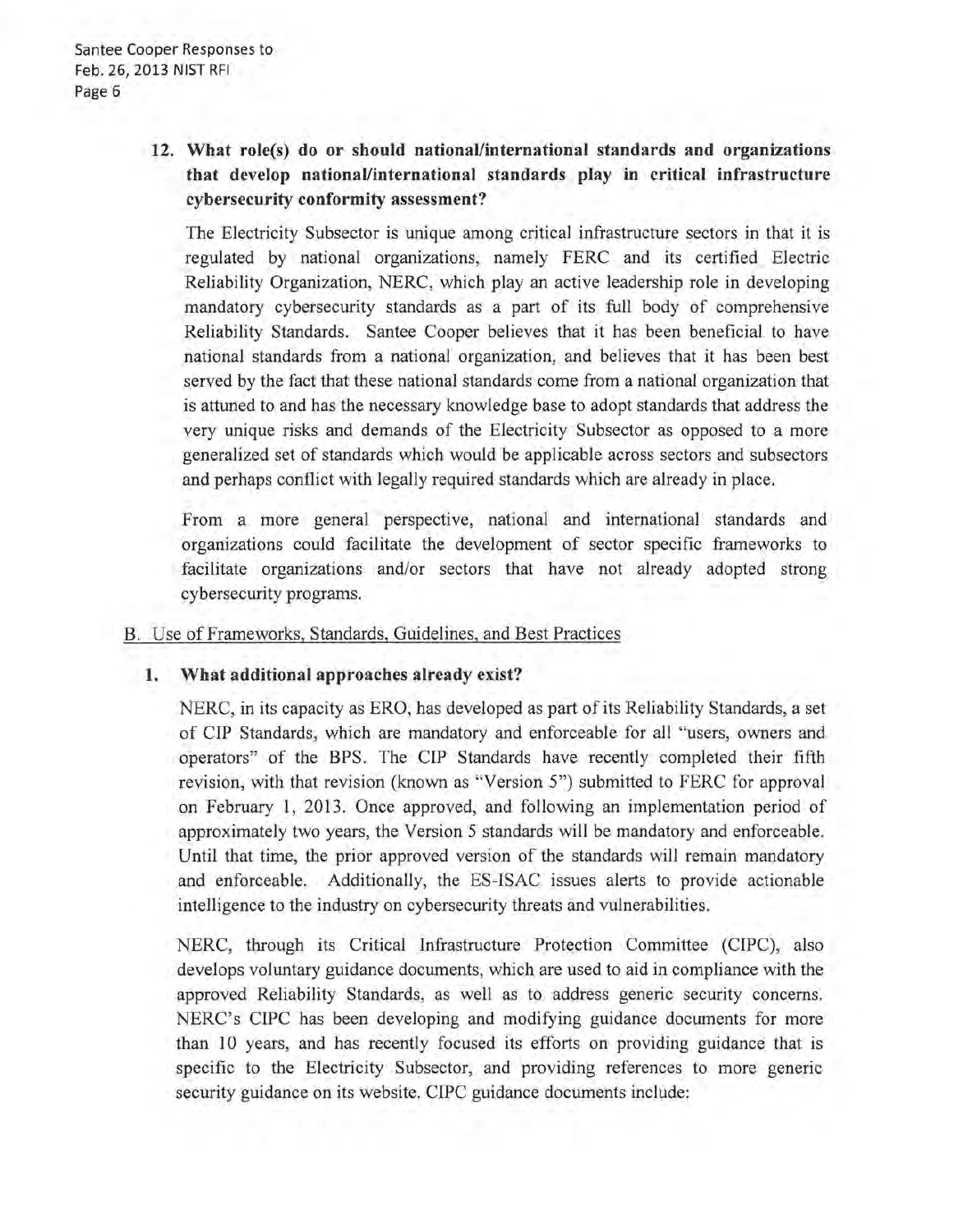# **12. What role(s) do or should national/international standards and organizations that develop national/international standards play in critical infrastructure cybersecurity conformity assessment?**

The Electricity Subsector is unique among critical infrastructure sectors in that it is regulated by national organizations, namely FERC and its certified Electric Reliability Organization, NERC, which play an active leadership role in developing mandatory cybersecurity standards as a part of its full body of comprehensive Reliability Standards. Santee Cooper believes that it has been beneficial to have national standards from a national organization, and believes that it has been best served by the fact that these national standards come from a national organization that is attuned to and has the necessary knowledge base to adopt standards that address the very unique risks and demands of the Electricity Subsector as opposed to a more generalized set of standards which would be applicable across sectors and subsectors and perhaps conflict with legally required standards which are already in place.

From a more general perspective, national and international standards and organizations could facilitate the development of sector specific frameworks to facilitate organizations and/or sectors that have not already adopted strong cybersecurity programs.

#### B. Use of Frameworks, Standards, Guidelines, and Best Practices

### **1. What additional approaches already exist?**

NERC, in its capacity as ERO, has developed as part of its Reliability Standards, a set of CIP Standards, which are mandatory and enforceable for all "users, owners and operators" of the BPS. The CIP Standards have recently completed their fifth revision, with that revision (known as "Version 5") submitted to FERC for approval on February 1, 2013 . Once approved, and following an implementation period of approximately two years, the Version 5 standards will be mandatory and enforceable. Until that time, the prior approved version of the standards will remain mandatory and enforceable. Additionally, the ES-ISAC issues alerts to provide actionable intelligence to the industry on cybersecurity threats and vulnerabilities.

NERC, through its Critical Infrastructure Protection Committee (CIPC), also develops voluntary guidance documents, which are used to aid in compliance with the approved Reliability Standards, as well as to address generic security concerns. NERC's CIPC has been developing and modifying guidance documents for more than 10 years, and has recently focused its efforts on providing guidance that is specific to the Electricity Subsector, and providing references to more generic security guidance on its website. CIPC guidance documents include: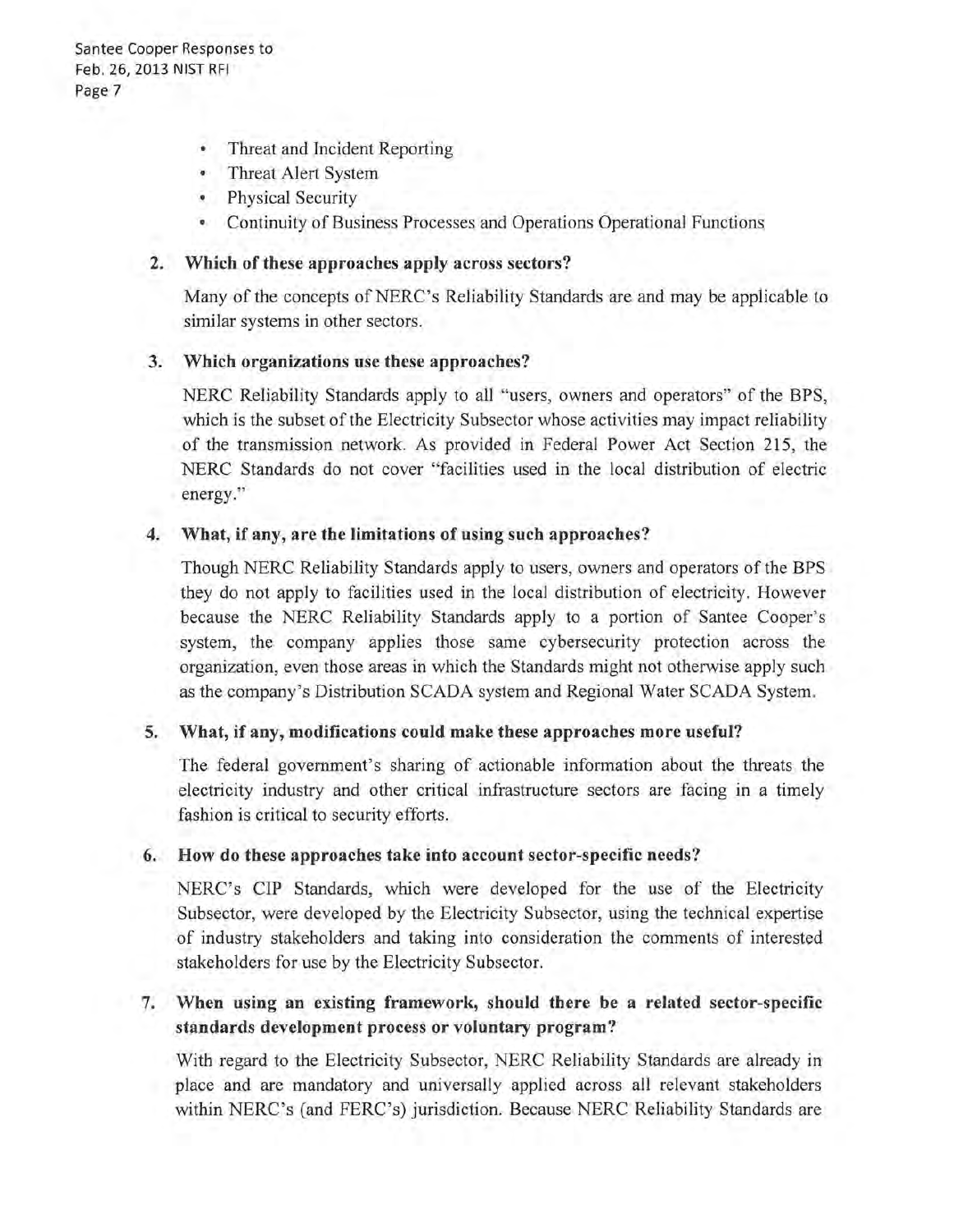- Threat and Incident Reporting
- Threat Alert System
- Physical Security
- Continuity of Business Processes and Operations Operational Functions

#### 2. Which of these approaches apply across sectors?

Many of the concepts of NERC' s Reliability Standards are and may be applicable to similar systems in other sectors.

#### 3. Which organizations use these approaches?

NERC Reliability Standards apply to all "users, owners and operators" of the BPS, which is the subset of the Electricity Subsector whose activities may impact reliability of the transmission network. As provided in Federal Power Act Section 215, the NERC Standards do not cover "facilities used in the local distribution of electric energy."

#### 4. What, if any, are the limitations of using such approaches?

Though NERC Reliability Standards apply to users, owners and operators of the BPS they do not apply to facilities used in the local distribution of electricity. However because the NERC Reliability Standards apply to a portion of Santee Cooper's system, the company applies those same cybersecurity protection across the organization, even those areas in which the Standards might not otherwise apply such as the company's Distribution SCADA system and Regional Water SCADA System.

#### 5. What, if any, modifications could make these approaches more useful?

The federal government's sharing of actionable information about the threats the electricity industry and other critical infrastructure sectors are facing in a timely fashion is critical to security efforts.

### 6. How do these approaches take into account sector-specific needs?

NERC's CIP Standards, which were developed for the use of the Electricity Subsector, were developed by the Electricity Subsector, using the technical expertise of industry stakeholders and taking into consideration the comments of interested stakeholders for use by the Electricity Subsector.

### 7. When using an existing framework, should there be a related sector-specific standards development process or voluntary program?

With regard to the Electricity Subsector, NERC Reliability Standards are already in place and are mandatory and universally applied across all relevant stakeholders within NERC's (and FERC's) jurisdiction. Because NERC Reliability Standards are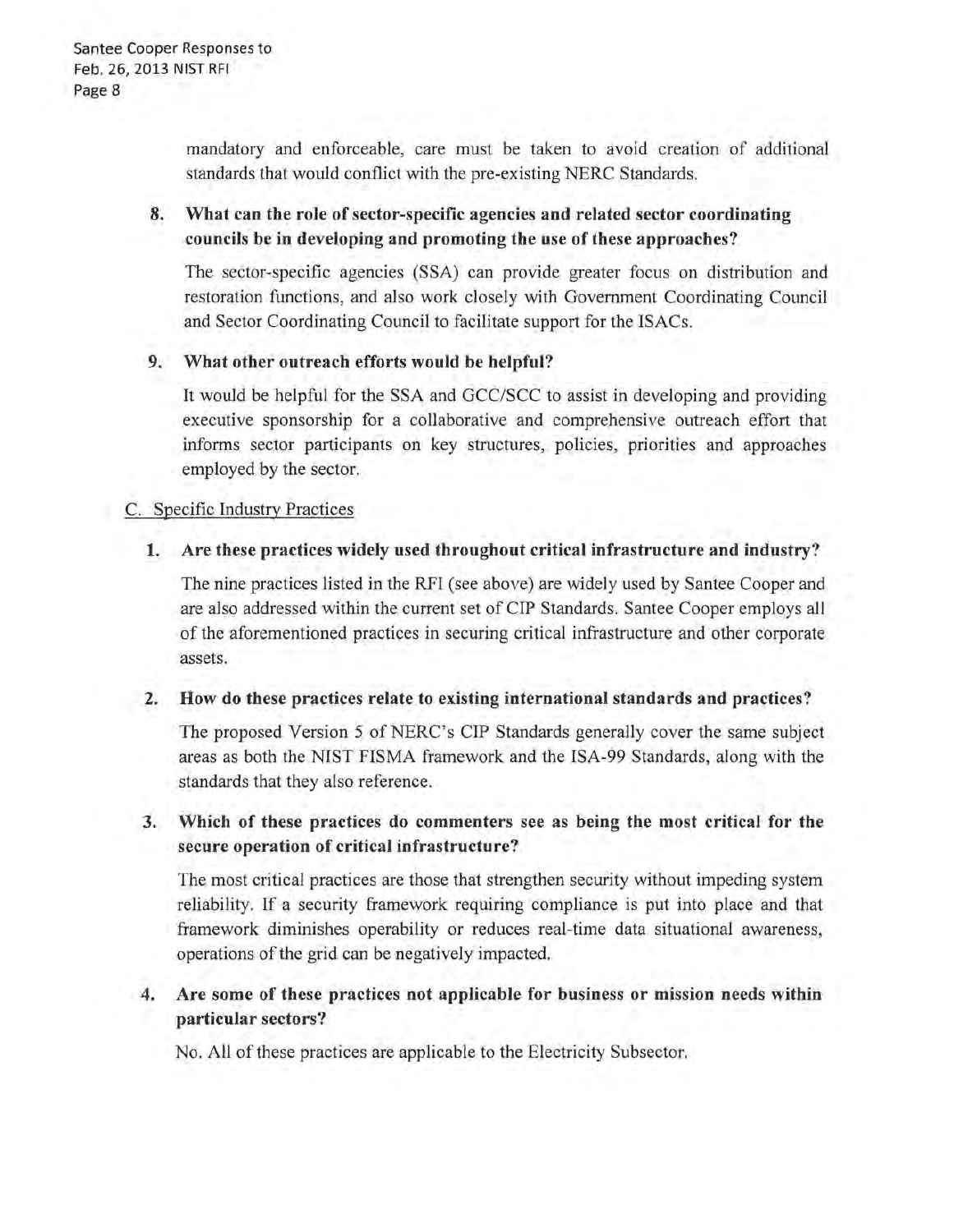mandatory and enforceable, care must be taken to avoid creation of additional standards that would conflict with the pre-existing NERC Standards.

## 8. What can the role of sector-specific agencies and related sector coordinating councils be in developing and promoting the use of these approaches?

The sector-specific agencies (SSA) can provide greater focus on distribution and restoration functions, and also work closely with Government Coordinating Council and Sector Coordinating Council to facilitate support for the ISACs.

### 9. What other outreach efforts would be helpful?

It would be helpful for the SSA and GCC/SCC to assist in developing and providing executive sponsorship for a collaborative and comprehensive outreach effort that informs sector participants on key structures, policies, priorities and approaches employed by the sector.

### C. Specific Industry Practices

### 1. Are these practices widely used throughout critical infrastructure and industry?

The nine practices listed in the RFI (see above) are widely used by Santee Cooper and are also addressed within the current set of CIP Standards. Santee Cooper employs all of the aforementioned practices in securing critical infrastructure and other corporate assets.

#### 2. How do these practices relate to existing international standards and practices?

The proposed Version 5 of NERC's CIP Standards generally cover the same subject areas as both the NIST FISMA framework and the ISA-99 Standards, along with the standards that they also reference.

### 3. Which of these practices do commenters see as being the most critical for the secure operation of critical infrastructure?

The most critical practices are those that strengthen security without impeding system reliability. If a security framework requiring compliance is put into place and that framework diminishes operability or reduces real-time data situational awareness, operations of the grid can be negatively impacted.

### 4. Are some of these practices not applicable for business or mission needs within particular sectors?

No. All of these practices are applicable to the Electricity Subsector.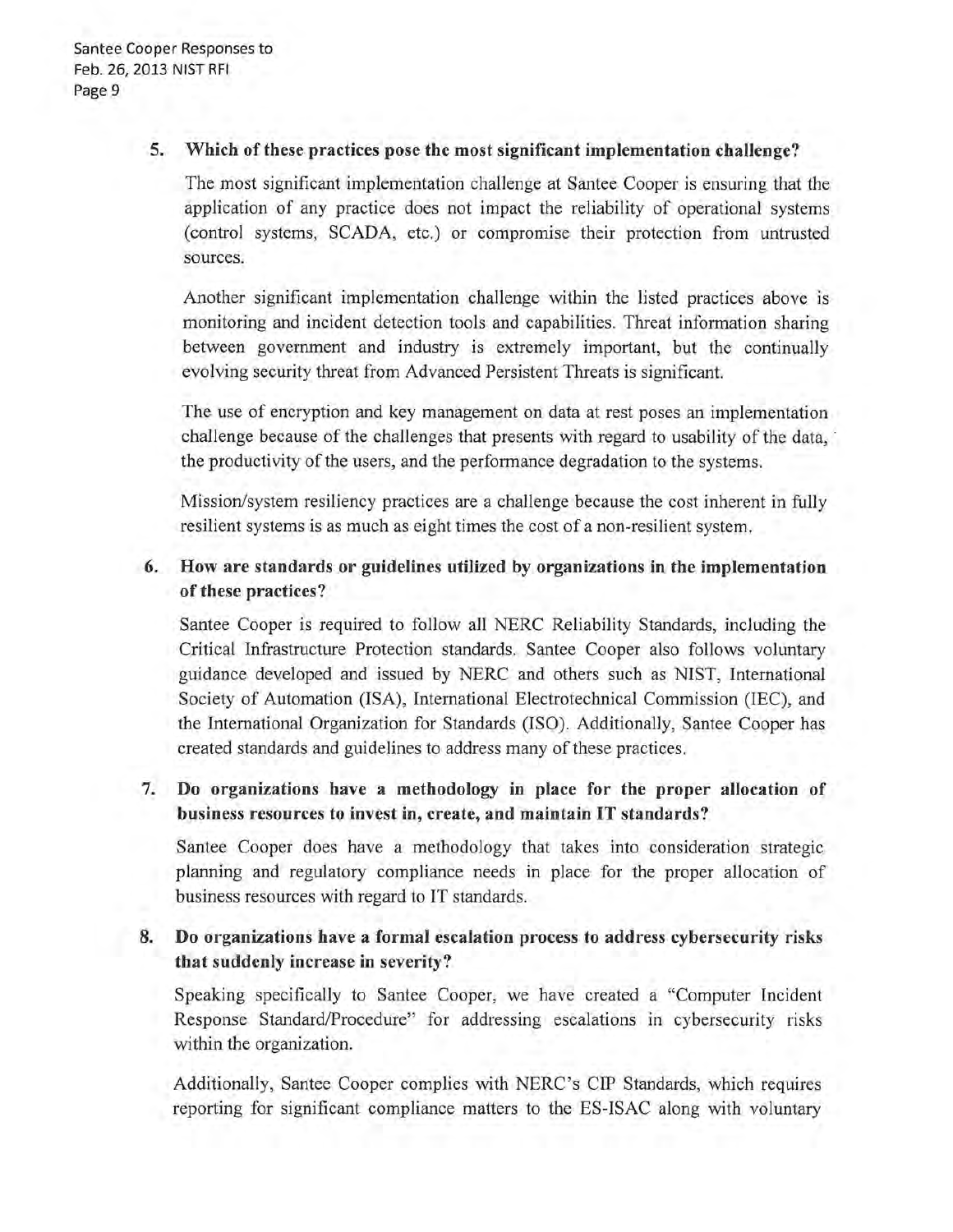#### **5. Which of these practices pose the most significant implementation challenge?**

The most significant implementation challenge at Santee Cooper is ensuring that the application of any practice does not impact the reliability of operational systems (control systems, SCADA, etc.) or compromise their protection from untrusted sources.

Another significant implementation challenge within the listed practices above is monitoring and incident detection tools and capabilities. Threat information sharing between government and industry is extremely important, but the continually evolving security threat from Advanced Persistent Threats is significant.

The use of encryption and key management on data at rest poses an implementation challenge because of the challenges that presents with regard to usability of the data, the productivity of the users, and the performance degradation to the systems.

Mission/system resiliency practices are a challenge because the cost inherent in fully resilient systems is as much as eight times the cost of a non-resilient system.

## **6. How are standards or guidelines utilized by organizations in the implementation of these practices?**

Santee Cooper is required to follow all NERC Reliability Standards, including the Critical Infrastructure Protection standards. Santee Cooper also follows voluntary guidance developed and issued by NERC and others such as NIST, International Society of Automation (ISA), International Electrotechnical Commission (IEC), and the International Organization for Standards (ISO). Additionally, Santee Cooper has created standards and guidelines to address many of these practices.

# **7. Do organizations have a methodology in place for the proper allocation of business resources to invest in, create, and maintain IT standards?**

Santee Cooper does have a methodology that takes into consideration strategic planning and regulatory compliance needs in place for the proper allocation of business resources with regard to IT standards.

### **8. Do organizations have a formal escalation process to address cybersecurity risks that suddenly increase in severity?**

Speaking specifically to Santee Cooper, we have created a "Computer Incident Response Standard/Procedure" for addressing escalations in cybersecurity risks within the organization.

Additionally, Santee Cooper complies with NERC's CIP Standards, which requires reporting for significant compliance matters to the ES-ISAC along with voluntary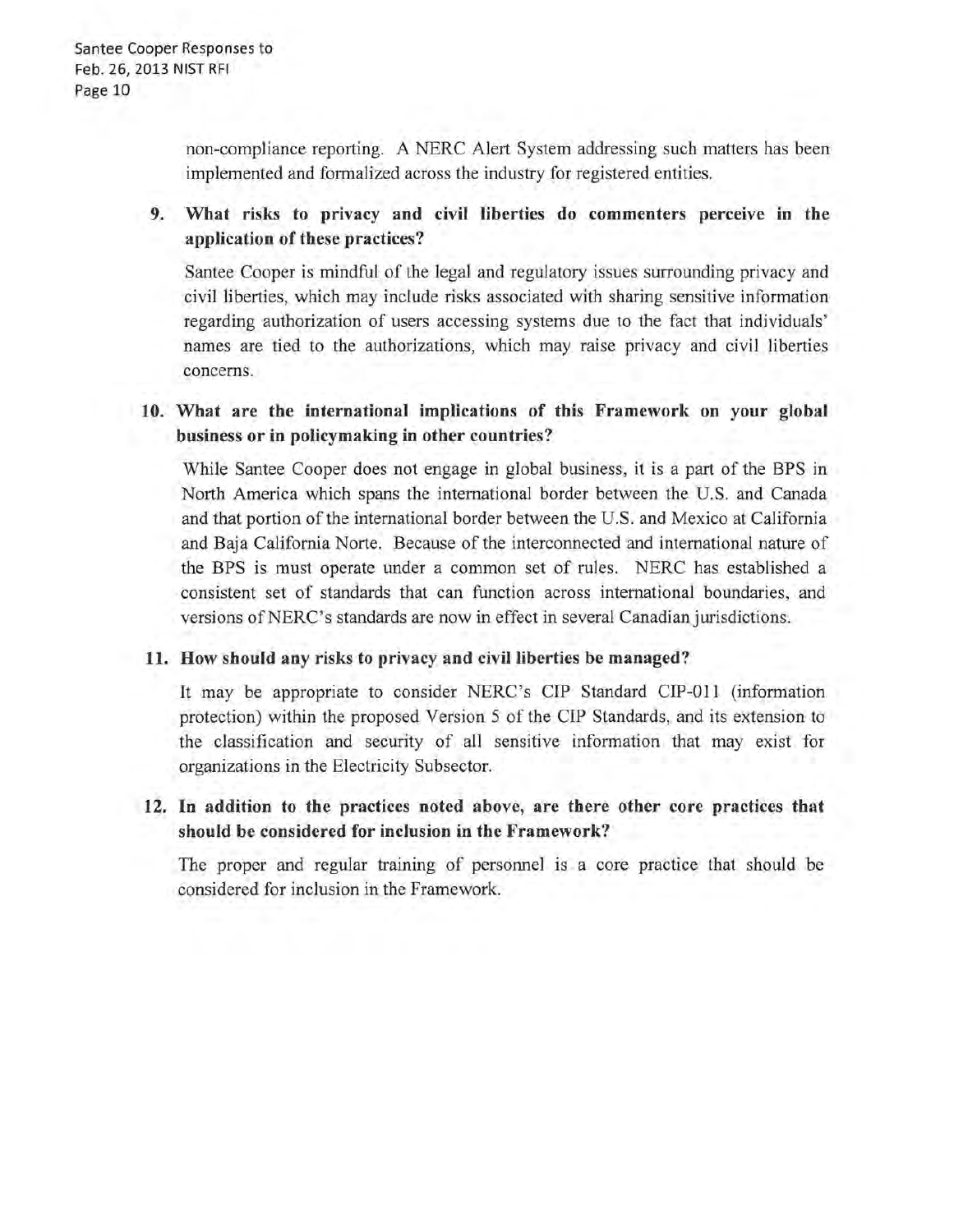non-compliance reporting. A NERC Alert System addressing such matters has been implemented and formalized across the industry for registered entities.

### 9. What risks to privacy and civil liberties do commenters perceive in the application of these practices?

Santee Cooper is mindful of the legal and regulatory issues surrounding privacy and civil liberties, which may include risks associated with sharing sensitive information regarding authorization of users accessing systems due to the fact that individuals' names are tied to the authorizations, which may raise privacy and civil liberties concerns.

# 10. What are the international implications of this Framework on your global business or in policymaking in other countries?

While Santee Cooper does not engage in global business, it is a part of the BPS in North America which spans the international border between the U.S. and Canada and that portion of the international border between the U.S. and Mexico at California and Baja California Norte. Because of the interconnected and international nature of the BPS is must operate under a common set of rules. NERC has established a consistent set of standards that can function across international boundaries, and versions of NERC's standards are now in effect in several Canadian jurisdictions.

#### 11. How should any risks to privacy and civil liberties be managed?

It may be appropriate to consider NERC's CIP Standard CIP-011 (information protection) within the proposed Version 5 of the CIP Standards, and its extension to the classification and security of all sensitive information that may exist for organizations in the Electricity Subsector.

### 12. In addition to the practices noted above, are there other core practices that should be considered for inclusion in the Framework?

The proper and regular training of personnel is a core practice that should be considered for inclusion in the Framework.